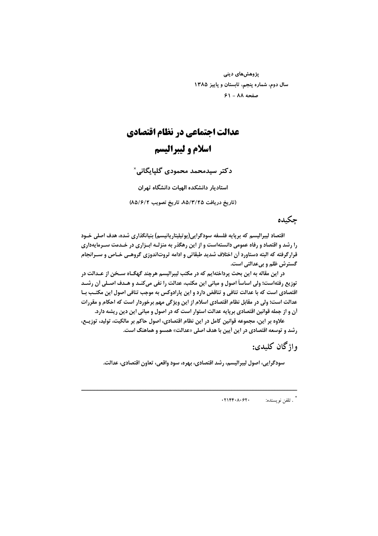پژوهشهای دینی سال دوم، شماره پنجم، تابستان و پاییز ۱۳۸۵ صفحه ٨٨ - ۶١

# عدالت اجتماعي در نظام اقتصادي اسلام و ليبراليسم

دکتر سیدمحمد محمودی گلیایگانی`

استادیار دانشکده الهیات دانشگاه تهران

(تاريخ دريافت ٨٥/٣/٢٥، تاريخ تصويب ٨٥/٤/٢)

### حكىدە

اقتصاد ليبراليسم كه بريايه فلسفه سودگرايي(يوتيليتاريانيسم) بنيانگذاري شده، هدف اصلي خـود را رشد و اقتصاد و رفاه عمومی دانستهاست و از این رهگذر به منزلـه ابـزاری در خـدمت سـرمایهداری قرارگرفته که البته دستاورد أن اختلاف شدید طبقاتی و ادامه ثروتاندوزی گروهـی خـاص و سـرانجام گسترش ظلم و بيعدالتي است.

در این مقاله به این بحث پرداختهایم که در مکتب لیبرالیسم هرچند گهگــاه سـخن از عــدالت در توزيع رفتهاست؛ ولي اساساً اصول و مباني اين مكتب، عدالت را نفي ميكنـد و هـدف اصـلي أن رشـد اقتصادی است که با عدالت تنافی و تناقض دارد و این پارادوکس به موجب تنافی اصول این مکتـب بـا عدالت است؛ ولي در مقابل نظام اقتصادي اسلام از اين ويژگي مهم برخوردار است كه احكام و مقررات أن و از جمله قوانین اقتصادی برپایه عدالت استوار است که در اصول و مبانی این دین ریشه دارد.

علاوه بر این، مجموعه قوانین کامل در این نظام اقتصادی، اصول حاکم بر مالکیت، تولید، توزیــع، رشد و توسعه اقتصادی در این أیین با هدف اصلی «عدالت» همسو و هماهنگ است.

واژگان کليدي:

سودگرایی، اصول لیبرالیسم، رشد اقتصادی، بهره، سود واقعی، تعاون اقتصادی، عدالت.

\* . تلفن نويسنده:  $.71FF-A.97.$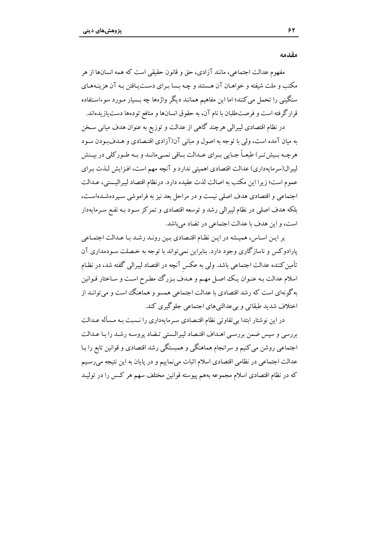مقدمه

مفهوم عدالت اجتماعی، مانند آزادی، حق و قانون حقیقی است که همه انسانها از هر مکتب و ملت شیفته و خواهـان آن هـستند و چـه بـسا بـرای دسـت یـافتن بـه آن هزینـههـای سنگینی را تحمل می کنند؛ اما این مفاهیم همانند دیگر واژهها چه بـسیار مـورد سوءاسـتفاده قرارگرفته است و فرصتطلبان با نام آن، به حقوق انسانها و منافع تودهها دست یازیدهاند.

در نظام اقتصادی لیبرالی هرچند گاهی از عدالت و توزیع به عنوان هدف میانی سـخن به میان آمده است، ولی با توجه به اصول و مبانی آن(آزادی اقتـصادی و هـدفبودن سـود هرچـه بـیش تـر) طبعـاً جـایی بـرای عــدالت بــاقی نمــی،مانــد و بــه طــور کلی در بیــنش لیبرال(سرمایهداری) عدالت اقتصادی اهمیتی ندارد و آنچه مهم است، افـزایش لـذت بـرای عموم است؛ زيرا اين مكتب به اصالت لذت عقيده دارد. درنظام اقتصاد ليبراليستي، عــدالت اجتماعی و اقتصادی هدف اصلی نیست و در مراحل بعد نیز به فراموشی سپردهشدهاست، بلکه هدف اصلی در نظام لیبرالی رشد و توسعه اقتصادی و تمرکز سـود بـه نفـع سـرمایهدار است، و این هدف با عدالت اجتماعی در تضاد میباشد.

بر این اساس، همیشه در این نظام اقتصادی بین روند رشد با عدالت اجتماعی پارادوکس و ناسازگاری وجود دارد. بنابراین نمی تواند با توجه به خصلت سـودمداری آن تأمین کننده عدالت اجتماعی باشد. ولی به عکس آنچه در اقتصاد لیبرالی گفته شد، در نظـام اسلام عدالت بـه عنـوان يـك اصـل مهـم و هـدف بـزرگ مطـرح اسـت و سـاختار قـوانين بهگونهای است که رشد اقتصادی با عدالت اجتماعی همسو و هماهنگ است و می توانـد از اختلاف شدید طبقاتی و بی عدالتی های اجتماعی جلوگیری کند.

در این نوشتار ابتدا بی تفاوتی نظام اقتصادی سرمایهداری را نـسبت بـه مـسأله عـدالت بررسی و سپس ضمن بررسی اهـداف اقتـصاد ليبرالـستی تـضاد پروسـه رشـد را بـا عـدالت اجتماعی روشن می کنیم و سرانجام هماهنگی و همبستگی رشد اقتصادی و قوانین تابع را بـا عدالت اجتماعي در نظامي اقتصادي اسلام اثبات مي نماييم و در پايان به اين نتيجه مي رسـيم که در نظام اقتصادی اسلام مجموعه بههم پیوسته قوانین مختلف سهم هر کس را در تولیـد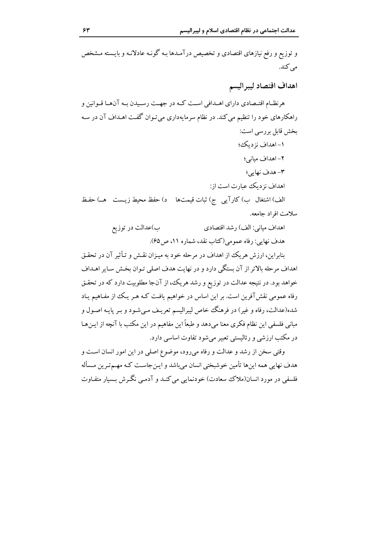و توزیع و رفع نیازهای اقتصادی و تخصیص درآمـدها بـه گونـه عادلانـه و بایـسته مـشخص می کند. اهداف اقتصاد ليبراليسم هرنظـام اقتــصادي داراي اهــدافي اســت كــه در جهــت رســيدن بــه آن@هـا قــوانين و راهکارهای خود را تنظیم میکند. در نظام سرمایهداری میتوان گفت اهـداف آن در سـه بخش قابل بررسی است: ١- اهداف نز ديك؛ ٢- اهداف مبانی؛ ۳– هدف نهایی؛ اهداف نز دیک عبارت است از : الف) اشتغال ب) كارآيي ج) ثبات قيمتها د) حفظ محيط زيـست هـ) حفظ سلامت افراد جامعه.

> ب)عدالت در توزیع اهداف مياني: الف) رشد اقتصادي هدف نهایی: رفاه عمومی(کتاب نقد، شماره ۱۱، ص9۵).

بنابراین، ارزش هریک از اهداف در مرحله خود به میـزان نقـش و تـأثیر آن در تحقـق اهداف مرحله بالاتر از آن بستگی دارد و در نهایت هدف اصلی تـوان بخـش سـایر اهـداف خواهد بود. در نتیجه عدالت در توزیع و رشد هر یک، از آنجا مطلوبیت دارد که در تحقـق رفاه عمومی نقش آفرین است. بر این اساس در خواهیم یافت کـه هـر یـک از مفـاهیم یـاد شده(عدالت، رفاه و غیر) در فرهنگ خاص لیبرالیسم تعریـف مـی.شـود و بـر پایـه اصـول و مبانی فلسفی این نظام فکری معنا میدهد و طبعاً این مفاهیم در این مکتب با آنچه از ایـن هـا در مکتب ارزشی و رئالیستی تعبیر می شود تفاوت اساسی دارد.

وقتی سخن از رشد و عدالت و رفاه میرود، موضوع اصلی در این امور انسان است و هدف نهایی همه اینها تأمین خوشبختی انسان می باشد و این جاست کـه مهـمترین مـسأله فلسفی در مورد انسان(ملاک سعادت) خودنمایی می کنـد و آدمـی نگـرش بـسیار متفـاوت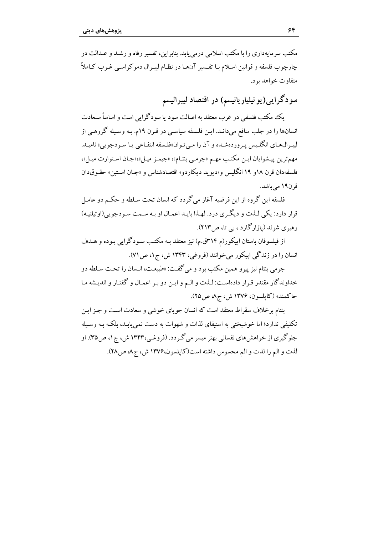مکتب سرمایهداری را با مکتب اسلامی درمی باید. بنابراین، تفسیر رفاه و رشید و عبدالت در چارچوب فلسفه و قوانین اسلام با تفسیر آنها در نظـام لیبرال دموکراسبی غیرب کـاملاً متفاوت خواهد بود.

سودگرایی(یوتیلیاریانیسم) در اقتصاد لیبرالیسم

یک مکتب فلسفی در غرب معتقد به اصالت سود یا سودگرایی است و اساساً سـعادت انسانها را در جلب منافع میدانـد. ایـن فلـسفه سیاسـی در قـرن ۱۹م. بـه وسـیله گروهـی از ليبرالهاي انگليس پروردهشده و آن را ميتوان هلسفه انتفاعي يا سودجويي» ناميد. مهم ترين پيشوايان ايـن مكتب مهـم «جرمـي بنتـام»، «جيمـز ميـل»،«جـان اسـتوارت ميـل»، فلسفهدان قرن ١٨و ١٩ انگليس و«ديويد ديكاردو» اقتصادشناس و «جـان اسـتين» حقـوق1ان قرن۱۹ مے باشد.

فلسفه این گروه از این فرضیه آغاز میگردد که انسان تحت سـلطه و حکـم دو عامـل قرار دارد: یکی لـذت و دیگـری درد. لهـذا بایـد اعمـال او بـه سـمت سـودجویی(اوتیلتیـه) رهبري شوند (يازارگارد ، بي تا، ص١٣).

از فیلسوفان باستان اییکور(م ۳۱۴ق.م) نیز معتقد بـه مکتـب سـودگرایی بـوده و هـدف انسان را در زندگی اپیکور میخوانند (فروغی، ۱۳۴۳ ش، ج۱، ص ۷۱).

جرمي بنتام نيز پيرو همين مكتب بود و مي گفت: «طبيعت، انـسان را تحـت سـلطه دو خداوندگار مقتدر قـرار دادهاسـت: لـذت و الـم و ايـن دو بـر اعمـال و گفتـار و انديـشه مـا حاكمند» (كايلسون، ۱۳۷۶ ش، ج۵ ص ۲۵).

بنتام برخلاف سقراط معتقد است که انسان جو پای خوشی و سعادت است و جـز ایـن تکلیفی ندارد؛ اما خوشبختی به استیفای لذات و شهوات به دست نمی پابـد، بلکـه بـه وسـیله جلوگیری از خواهشهای نفسانی بهتر میسر می گـردد. (فروغـی،۱۳۴۳ ش، ج۱، ص۳۵). او لذت و الم را لذت و الم محسوس داشته است(كايلسون،١٣٧۶ ش، ج٨ ص٢٨).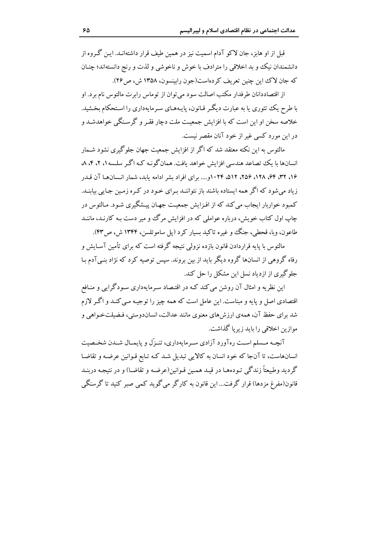قبل از او هابز، جان لاکو آدام اسمیت نیز در همین طیف قرار داشتهانــد. ایــن گــروه از دانشمندان نیک و بد اخلاقی را مترادف با خوش و ناخوشی و لذت و رنج دانستهاند؛ چنـان كه جان لاك اين چنين تعريف كردهاست(جون رايينسون، ١٣۵٨ ش، ص٢۶).

از اقتصاددانان طرفدار مکتب اصالت سو د می توان از توماس رابرت مالتوس نام بر د. او با طرح یک تئوری یا به عبارت دیگر قیانون، پایـههـای سـرمایهداری را اسـتحکام بخـشید. خلاصه سخن او این است که با افزایش جمعیت ملت دچار فقـر و گرسـنگی خواهدشـد و در این مورد کسی غیر از خود آنان مقصر نیست.

مالتوس به این نکته معتقد شد که اگر از افزایش جمعت جهان جلوگیری نشود شـمار انسانها با یک تصاعد هندسی افزایش خواهد بافت. همان گونـه کـه اگـر سلـسه ۱، ۲، ۴، ۸ ۱۶، ۳۲، ۶۴، ۲۸، ۲۵۶، ۵۱۲، ۵۱۴، ۱۰۲۴و.... برای افراد بشر ادامه باید، شمار انسان ها آن قیدر زیاد می شود که اگر همه ایستاده باشند باز نتواننـد بـرای خـود در کـره زمـین جـایی بیابنـد. کمبود خواربار ایجاب می کند که از افـزایش جمعیـت جهـان پیـشگیری شـود. مـالتوس در چاپ اول کتاب خویش، درباره عواملی که در افزایش مرگ وو میر دست بـه کارنـد، ماننـد طاعون، وبا، قحطي، جنگ و غيره تاکيد بسيار کرد (يل ساموئلسن، ۱۳۴۴ ش، ص۴۳).

مالتوس با پایه قراردادن قانون بازده نزولی نتیجه گرفته است که برای تأمین آسـایش و رفاه گروهی از انسانها گروه دیگر باید از بین بروند. سپس توصیه کرد که نژاد بنـیآدم بـا جلوگیری از ازدیاد نسل این مشکل را حل کند.

این نظریه و امثال آن روشن می کند کـه در اقتـصاد سـرمایهداری سـودگرایی و منـافع اقتصادی اصل و پایه و مبناست. این عامل است که همه چیز را توجیـه مـی کنـد و اگـر لازم شد برای حفظ آن، همهی ارزش های معنوی مانند عدالت، انساندوستی، فـضیلتخـواهی و موازين اخلاقي را بايد زيريا گذاشت.

آنچـه مـسلم اســت رهآورد آزادي سـرمايهداري، تنـزّل و پايمـال شــدن شخـصيت انسانهاست، تا آنجا که خود انسان به کالایی تبدیل شـد کـه تـابع قـوانین عرضـه و تقاضـا گردید وطبیعتاً زندگی تـودههـا در قیـد همـین قـوانین(عرضـه و تقاضـا) و در نتیجـه دربنـد قانون(مفرغ مزدها) قرار گرفت... این قانون به کارگر می گوید کمبی صبر کنید تا گرسنگی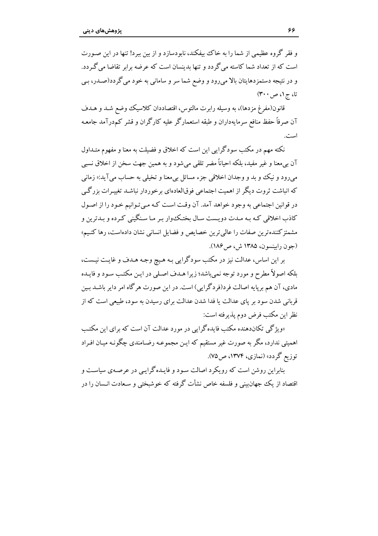و فقر گروه عظیمی از شما را به خاک بیفکند، نابودسازد و از بین ببرد! تنها در این صـورت است که از تعداد شما کاسته می گردد و تنها بدینسان است که عرضه برابر تقاضا می گردد. و در نتیجه دستمزدهایتان بالا می رود و وضع شما سر و سامانی به خود می گردد(صـدر، بـی تا، ج ۱، ص ۳۰۰)

قانون(مفرغ مزدها)، به وسيله رابرت مالتوس، اقتصاددان كلاسيك وضع شـد و هـدف آن صرفاً حفظ منافع سرمایهداران و طبقه استعمارگر علیه کارگران و قشر کم درآمد جامعـه است.

.<br>نکته مهم در مکتب سودگرایی این است که اخلاق و فضیلت به معنا و مفهوم متبداول آن بي معنا و غير مفيد، بلكه احياناً مضر تلقى مي شود و به همين جهت سخن از اخلاق نسبي مې رود و نيک وو بد و وجدان اخلاقي جزء مسائل بې معنا و تخيلې به حساب مې آيد:« زمانې که انباشت ثروت دیگر از اهمیت اجتماعی فوقالعادهای برخوردار نباشـد تغییـرات بزرگـی در قوانین اجتماعی به وجود خواهد آمد. آن وقت است کـه مـی تـوانیم خـود را از اصـول کاذب اخلاقی کـه بـه مـدت دویـست سـال بختـکـوار بـر مـا سـنگینی کـرده و بـدترین و مشمئز كننده ترين صفات را عالى ترين خصايص و فضايل انسانى نشان دادهاست، رها كنيم» (جون رابينسون، ١٣٨۵ ش، ص١٨۶).

بر این اساس، عدالت نیز در مکتب سودگرایی بـه هـیچ وجـه هـدف و غایـت نیـست، بلکه اصولاً مطرح و مورد توجه نمي باشد؛ زيرا هـدف اصـلي در ايـن مکتـب سـود و فايـده مادي، آن هم بريايه اصالت فر د(فردگرايي) است. در اين صورت هرگاه امر داير باشــد بـين قربانی شدن سود بر پای عدالت یا فدا شدن عدالت برای رسیدن به سود، طبیعی است که از نظر اين مكتب فرض دوم پذيرفته است:

«ویژگی تکاندهنده مکتب فایدهگرایی در مورد عدالت آن است که برای این مکتب اهمیتی ندارد، مگر به صورت غیر مستقیم که ایـن مجموعـه رضـامندی چگونـه میـان افـراد توزیع گردد» (نمازی، ۱۳۷۴، ص۵۷۵).

بنابراین روشن است که رویکرد اصالت سود و فایـدهگرایـی در عرصـهی سیاسـت و اقتصاد از یک جهانبینی و فلسفه خاص نشأت گرفته که خوشبختی و سـعادت انـسان را در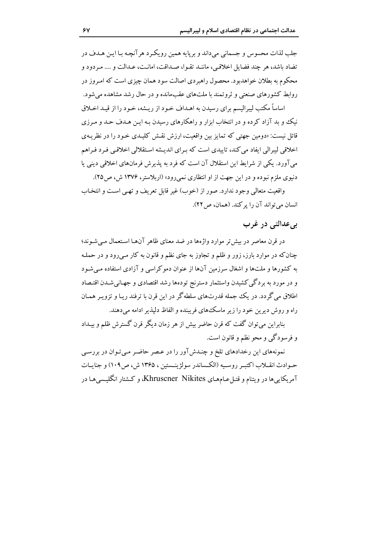جلب لذات محسوس و جسماني مي داند و بريايه همين رويكر د هر آنچـه بـا ايـن هـدف در تضاد باشد، هر چند فضایل اخلاقی، ماننـد تقـوا، صـداقت، امانـت، عـدالت و .... مـردود و محکوم به بطلان خواهدبود. محصول راهبردی اصالت سود همان چیزی است که امـروز در روابط کشورهای صنعتی و ثروتمند با ملتهای عقبمانده و در حال رشد مشاهده می شود.

اساساً مکتب لیبرالیسم برای رسیدن به اهـداف خـود از ریـشه، خـود را از قیـد اخـلاق نیک و بد آزاد کرده و در انتخاب ابزار و راهکارهای رسیدن بـه ایـن هـدف حـد و مـرزی قائل نیست: «دومین جهتی که تمایز بین واقعیت، ارزش نقش کلیـدی خـود را در نظریـهی اخلاقی لیبرالی ایفاد می کند، تابیدی است که برای اندیشه استقلالی اخلاقبی فیرد فیراهم می آورد. یکی از شرایط این استقلال آن است که فرد به پذیرش فرمانهای اخلاقی دینی یا دنیوی ملزم نبوده و در این جهت از او انتظاری نمی رود» (اربلاستر، ۱۳۷۶ ش، ص۲۵).

واقعیت متعالی وجود ندارد. صور از (خوب) غیر قابل تعریف و تھی است و انتخـاب انسان مي تواند آن را پر كند. (همان، ص ٢٢).

### يے عدالتے در غرب

در قرن معاصر در بیش تر موارد واژهها در ضد معنای ظاهر آنهـا اسـتعمال مـی شـوند؛ چنانکه در موارد بارز، زور و ظلم و تجاوز به جای نظم و قانون به کار مـیرود و در حملـه به کشورها و ملتها و اشغال سرزمین آنها از عنوان دموکراسی و آزادی استفاده مبی شود و در مورد به بردگی کشیدن واستثمار دسترنج تودهها رشد اقتصادی و جهـانی شـدن اقتـصاد اطلاق می گردد. در یک جمله قدرتهای سلطه گر در این قرن با ترفند ریـا و تزویـر همـان راه و روش دیرین خود را زیر ماسک های فریبنده و الفاظ دلیذیر ادامه می دهند.

بنابراين مي توان گفت كه قرن حاضر بيش از هر زمان ديگر قرن گسترش ظلم و بيـداد و فرسودگی و محو نظم و قانون است.

نمونههای این رخدادهای تلخ و چندشآور را در عصر حاضر میتوان در بررسی حـوادث انقــلاب اكتبـر روســيه (الكــساندر سولژينــستين ، ۱۳۶۵ ش، ص ۱۰۹) و جنايــات آمریکایی ها در ویتنام و قتـل عـامهـای Khruscner Nikites، و کـشتار انگلیـسی هـا در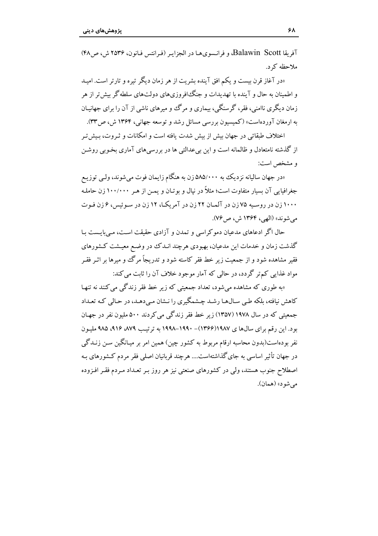آفريقا Balawin Scott، و فرانسوي هيا در الجزاير (فيرانتس فيانون، ٢٥٣۶ ش) ص ۴۸) ملاحظه ک د.

«در آغاز قرن بیست و یکم افق آینده بشریت از هر زمان دیگر تیره و تارتر است. امید و اطمینان به حال و آینده با تهدیدات و جنگخافروزی های دولتهای سلطه گر پیش تر از هر زمان دیگری ناامنے، فقر، گرسنگے، پیماری و مرگ و میرهای ناشے از آن را برای جهانسان به ارمغان آوردهاست» (کمیسیون بررسی مسائل رشد و توسعه جهانی، ۱۳۶۴ ش، ص۳۳).

اختلاف طبقاتی در جهان بیش از پیش شدت بافته است و امکانات و ثیروت، پیش تیر از گذشته نامتعادل و ظالمانه است و این پی عدالتی ها در بر رسی های آماری بخوبی روشن و مشخص است:

«در جهان سالیانه نزدیک به ۵۸۵/۰۰۰ زن به هنگام زایمان فوت می شوند، ولبی توزیـع جغرافیایی آن بسیار متفاوت است؛ مثلاً در نیال و بو تـان و یمـن از هـر ۱۰۰/۰۰۰ زن حاملـه ۱۰۰۰ زن در روسیه ۷۵ زن در آلمان ۲۲ زن در آمریک)، ۱۲ زن در سـوئیس، ۶ زن فـوت مي شوند» (الهي، ۱۳۶۴ ش، ص٧۶).

حال اگر ادعاهای مدعیان دموکراسی و تمدن و آزادی حقیقت است، مـی،ایـست بـا گذشت زمان و خدمات این مدعیان، بهبودی هرچند انـدک در وضـع معیـشت کـشورهای فقیر مشاهده شود و از جمعیت زیر خط فقر کاسته شود و تدریجاً مرگ و میرها بر اثـر فقـر مواد غذایی کم تر گردد، در حالبی که آمار موجود خلاف آن را ثابت می کند:

«به طوری که مشاهده می شود، تعداد جمعتی که زیر خط فقر زندگی می کنند نه تنهیا کاهش نیافته، بلکه طبی سـال۱هـا رشـد چـشمگیری را نـشان مـی دهـد، در حـالی کـه تعـداد جمعیتی که در سال ۱۹۷۸ (۱۳۵۷) زیر خط فقر زندگی می کردند ۵۰۰ ملیون نفر در جهـان بود. این رقم برای سالها ی ۱۹۸۷(۱۳۶۶)– ۱۹۹۰–۱۹۹۸ به ترتیب ۸۷۹ ،۹۱۶ ه.۵۹ ملیون نفر بودهاست(بدون محاسبه ارقام مربوط به کشور چین) همین امر بر میـانگین سـن زنـدگی در جهان تأثیر اساسی به جای گذاشتهاست.... هر چند قربانیان اصلی فقر مردم کـشورهای بـه اصطلاح جنوب هستند، ولی در کشورهای صنعتی نیز هر روز بـر تعـداد مـردم فقـر افـزوده مي شود» (همان).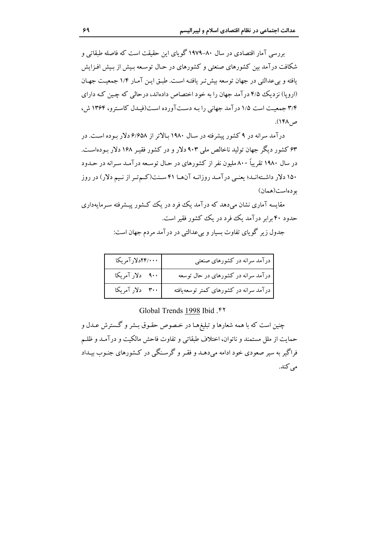بررسی ِ آمار اقتصادی در سال ۸۰–۱۹۷۹ گویای این حقیقت است که فاصله طبقاتی و شکافت در آمد بین کشورهای صنعتی و کشورهای در حـال توسـعه پیش از پیش افـزایش يافته و بي عدالتي در جهان توسعه بيش تير يافتـه اسـت. طبـق ايـن آمـار ١/٤ جمعيـت جهـان (اروپا) نز دیک ۴/۵ در آمد جهان را به خود اختصاص دادهاند، در حالی که چین کـه دارای ۳/۴ جیمعت است ۱/۵ در آمد جهانی را به دست آورده است(فیدل کاسترو، ۱۳۶۴ ش، ص ۱۴۸).

در آمد سرانه در ۹ کشور پیشرفته در سـال ۱۹۸۰ بالاتر از ۶/۶۵۸ دلار بوده اسـت. در ۶۳ کشور دیگر جهان تولید ناخالص ملی ۹۰۳ دلار و در کشور فقیر ۱۶۸ دلار بودهاست. در سال ۱۹۸۰ تقر ساً ۸۰۰ ملیون نفر از کشورهای در حـال توسـعه در آمـد سـرانه در حـدود ۱۵۰ دلار داشـتهانـد؛ یعنـی درآمـد روزانـه آنهـا ۴۱ سـنت(کـمتـر از نـیم دلار) در روز بو دهاست(همان)

مقایسه آماری نشان میردهد که درآمد یک فرد در یک کشور پیشرفته سـرمایهداری حدود ۴۰ برابر درآمد یک فرد در یک کشور فقیر است. جدول زیر گویای تفاوت بسیار و بیءدالتی در درآمد مردم جهان است:

| <br>۱۴/۰۰۰-لارآمریکا | درآمد سرانه در کشورهای صنعتی           |
|----------------------|----------------------------------------|
| ۹۰۰ دلار آمریکا      | درآمد سرانه در کشورهای در حال توسعه    |
| ۳۰۰ دلار آمریکا      | درآمد سرانه در کشورهای کمتر توسعهیافته |

Global Trends 1998 Ibid. ۴۲

چنین است که با همه شعارها و تبلیغهـا در خـصوص حقـوق بـشر و گـسترش عــدل و حمايت از ملل مستمند و ناتوان، اختلاف طبقاتي و تفاوت فاحش مالكيت و درآمـد و ظلـم فراگیر به سیر صعودی خود ادامه می دهـد و فقـر و گرسـنگی در کـشورهای جنـوب بیـداد مے کند.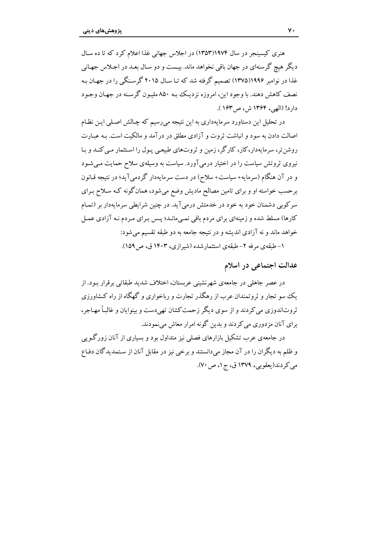هنری کسسنجر در سال ۱۹۷۴(۱۳۵۳) در اجلاس جهانی غذا اعلام کرد که تا ده سـال دیگر هیچ گرسنهای در جهان باقی نخواهد ماند. بیست و دو سال بعید در اجلاس جهانی غذا در نوامبر ۱۹۹۶(۱۳۷۵) تصمیم گرفته شد که تـا سـال ۲۰۱۵ گرسـنگی را در جهـان بـه نصف کاهش دهند. با وجود این، امروزه نزدیک بـه ۸۵۰ ملیـون گرسـنه در جهـان وجـود داد د! (الصه ، ۱۳۶۴ ش) ص۱۶۳).

در تحلیل این دستاورد سرمایهداری به این نتیجه می,رسیم که چـالش اصـلی ایـن نظـام اصالت دادن به سود و انباشت ثروت و آزادی مطلق در درآمد و مالکیت است. بـه عبـارت روشن تر، سرمامهدار،کار، کارگر، زمین و ثروتهای طبیعی پیول را استثمار می کنید و پیا نیروی ثروتش سیاست را در اختیار درمی آورد. سیاست به وسیلهی سلاح حمایت مے شـود و در آن هنگام (سرمایه+سیاست+سلاح) در دست سرمایهدار گردمی آید؛ در نتیجه قـانون برحسب خواسته او و برای تامین مصالح مادیش وضع میشود، همانگونه کـه سـلاح بـرای سرکوبی دشمنان خود به خود در خدمتش درمی آید. در چنین شرایطی سرمایهدار بر (تمـام کارها) مسلط شده و زمینهای برای مردم باقی نمـی،انـد؛ پـس بـرای مـردم نـه آزادی عمـل خواهد ماند و نه آزادي انديشه و در نتيجه جامعه به دو طبقه تقسيم مي شود: ۱– طبقهی مرفه ۲– طبقهی استثمارشده (شیرازی، ۱۴۰۳ ق، ص۱۵۹).

عدالت اجتماعی در اسلام

در عصر جاهلی در جامعهی شهرنشینی عربستان، اختلاف شدید طبقاتی برقرار بود. از یک سو تجار و ثروتمندان عرب از رهگذر تجارت و رباخواری و گهگاه از راه کشاورزی ثروتاندوزي مي كردند و از سوي ديگر زحمت كشان تهي دست و بينوايان و غالباً مهـاجر، برای آنان مزدوری می کردند و بدین گونه امرار معاش می نمودند.

در جامعهی عرب تشکیل بازارهای فصلی نیز متداول بود و بسیاری از آنان زورگـو پی و ظلم به دیگران را در آن مجاز میدانستند و برخی نیز در مقابل آنان از سـتمدیدگان دفـاع مي كردند(يعقوبي، ١٣٧٩ ق، ج١، ص ٧٠).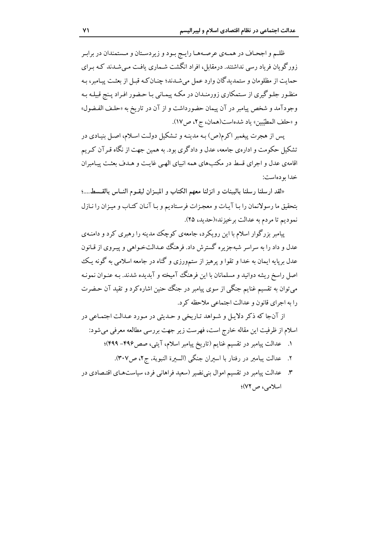ظلـم و اجحـاف در همـهي عرصـههـا رايـج بـود و زيردسـتان و مـستمندان در برابـر زور گو بان فر باد رسی نداشتند. درمقابل، افراد انگشت شـماری بافـت مـی شـدند کـه بـرای حمایت از مظلومان و ستمدیدگان وارد عمل می شـدند؛ چنـان کـه قبـل از بعثـت پیـامبر، بـه منظور جلوگیری از ستمکاری زورمنـدان در مکـه پیمـانی بـا حـضور افـراد پـنج قبیلـه بـه وجودآمد و شخص پیامبر در آن پیمان حضورداشت و از آن در تاریخ به «حلـف الفـضول» و «حلف المطيِّبين» ياد شدهاست(همان، ج ٢، ص١٧).

پس از هجرت پیغمبر اکرم(ص) بـه مدینـه و تـشکیل دولـت اسـلام، اصـل بنیـادی در تشکیل حکومت و ادارهی جامعه، عدل و دادگری بود. به همین جهت از نگاه قـر آن کـریم اقامهی عدل و اجرای قسط در مکتبهای همه انبیای الهبی غایت و هـدف بعثـت پیـامبران خدا بو دهاست:

«لقد ارسلنا رسلنا بالبينات و انزلنا معهم الكتاب و الميـزان ليقـوم النــاس بالقــسط....؛ بتحقيق ما رسولانمان را بـا آيـات و معجـزات فرسـتاديم و بـا آنـان كتـاب و ميـزان را نـازل نموديم تا مردم به عدالت برخيزند»(حديد، ٢۵).

پیامبر بزرگوار اسلام با این رویکرد، جامعهی کوچک مدینه را رهبری کرد و دامنـهی عدل و داد را به سراسر شبهجزیره گسترش داد. فرهنگ عدالتخـواهی و پیـروی از قـانون عدل برپایه ایمان به خدا و تقوا و پرهیز از ستم٬ورزی و گناه در جامعه اسلامی به گونه یـک اصل راسخ ریشه دوانید و مسلمانان با این فرهنگ آمیخته و آبدیده شدند. بـه عنـوان نمونـه می توان به تقسیم غنایم جنگی از سوی پیامبر در جنگ حنین اشاره کرد و تقید آن حـضرت را به اجرای قانون و عدالت اجتماعی ملاحظه کرد.

از آنجا كه ذكر دلايل و شـواهد تـاريخي و حـديثي در مـورد عـدالت اجتمـاعي در اسلام از ظرفیت این مقاله خارج است، فهرست زیر جهت بررسی مطالعه معرفی میشود:

- عدالت پیامبر در تقسیم غنایم (تاریخ پیامبر اسلام، آیتی، صص۴۹۶–۴۹۹)؛
	- ٢. عدالت ييامبر در رفتار با اسىران جنگي (السىرة النبوية، ج٢، ص٣٠٧).
- ۳. عدالت پیامبر در تقسیم اموال بنی نضیر (سعید فراهانی فرد، سیاستهای اقتصادی در اسلامي، ص ٧٢)؛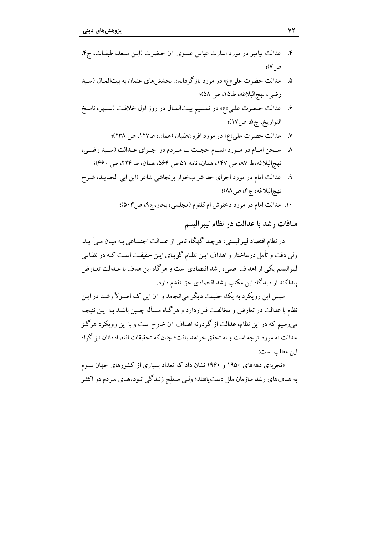- ۶. عدالت حـضرت علـى«ع» در تقـسيم بيـتالمـال در روز اول خلافـت (سـپهر، ناسـخ التواريخ، ج۵، ص١٧)؛
	- عدالت حضرت علي «ع» در مورد افزون طلبان (همان، ط ١٢٧، ص ٢٣٨)؛  $\cdot$ . $\mathsf{v}$
- ٨ سـخن امـام در مـورد اتمـام حجـت بـا مـردم در اجـراي عـدالت (سـيد رضـي، نهج البلاغه،ط ٨٧، ص ١۴٧، همان، نامه ٥١ ص ٥۶۶، همان، ط ٢٢۴، ص ۴۶۰)؛
- ۹. عدالت امام در مورد اجرای حد شرابخوار برنجاشی شاعر (ابن ابی الحدیـد، شـرح نهج البلاغه، ج۴، ص٨٨)؛

۱۰. عدالت امام در مورد دخترش ام کلثوم (مجلسی، بحار،ج۹، ص۵۰۳)؛

منافات رشد با عدالت در نظام ليبراليسم

در نظام اقتصاد لیبرالیستی، هرچند گهگاه نامی از عـدالت اجتمـاعی بـه میـان مـی] یـد. ولی دقت و تأمل درساختار و اهداف ایـن نظـام گویـای ایـن حقیقـت اسـت کـه در نظـامی لیبرالیسم یکی از اهداف اصلی، رشد اقتصادی است و هرگاه این هدف با عـدالت تعـارض یبداکند از دیدگاه این مکتب رشد اقتصادی حق تقدم دارد.

سیس این رویکرد به یک حقیقت دیگر می|نجامد و آن این کـه اصـولاً رشـد در ایـن نظام با عدالت در تعارض و مخالفت قـراردارد و هرگـاه مـسأله چنـین باشـد بـه ایـن نتیجـه میرسیم که در این نظام، عدالت از گردونه اهداف آن خارج است و با این رویکرد هرگز عدالت نه مورد توجه است و نه تحقق خواهد یافت؛ چنان که تحقیقات اقتصاددانان نیز گواه ابن مطلب است:

«تجربهی دهههای ۱۹۵۰ و ۱۹۶۰ نشان داد که تعداد بسیاری از کشورهای جهان سـوم به هدفهای رشد سازمان ملل دست یافتند؛ ولمی سـطح زنـدگی تـودههـای مـردم در اکثـر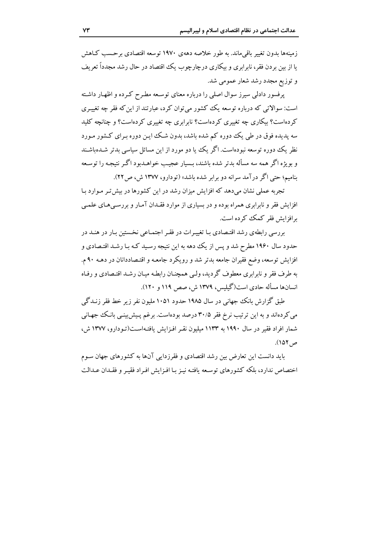زمینهها بدون تغییر باقی ماند. به طور خلاصه دههی ۱۹۷۰ توسعه اقتصادی بر حسب کـاهش با از بین بردن فقر، نابرابری و بیکاری درچارچوب یک اقتصاد در حال رشد مجدداً تعریف و توزیع مجدد رشد شعار عمومی شد.

پرفسور دادلی سیرز سوال اصلی را درباره معنای توسعه مطرح کـرده و اظهـار داشـته است: سوالاتي كه درباره توسعه يك كشور مي توان كرد، عبارتند از اين كه فقر چه تغييري کردهاست؟ بیکاری چه تغییری کردهاست؟ نابرابری چه تغییری کردهاست؟ و چنانچه کلید سه پدیده فوق در طی یک دوره کم شده باشد، پدون شبک این دوره پیرای کیشور میورد نظر یک دوره توسعه نبودهاست. اگر یک یا دو مورد از این مسائل سیاسی پدتر شدهاشند و بویژه اگر همه سه مسأله بدتر شده باشند، بـسیار عجیب خواهــدبود اگــر نتیجـه را توسـعه بنامیم؛ حتی اگر در آمد سرانه دو برابر شده باشد» (تودارو، ۱۳۷۷ ش، ص۲۲).

تجربه عملی نشان میدهد که افزایش میزان رشد در این کشورها در بیش تر مـوارد بـا افزایش فقر و نابرابری همراه بوده و در بسیاری از موارد فقـدان آمـار و بررسـی،هـای علمـی برافزايش فقر كمك كرده است.

بررسی رابطهی رشد اقتـصادی بـا تغییـرات در فقـر اجتمـاعی نخـستین بـار در هنـد در حدود سال ۱۹۶۰ مطرح شد و پس از یک دهه به این نتیجه رسـید کـه بـا رشـد اقتـصادی و افزایش توسعه، وضع فقیران جامعه بدتر شد و رویکرد جامعـه و اقتـصاددانان در دهــه ۹۰ م. به طرف فقر و نابرابري معطوف گرديد، ولـي همچنــان رابطـه ميــان رشــد اقتــصادي و رفـاه انسانها مسأله حادي است(گیلیس، ۱۳۷۹ ش، صص ۱۱۹ و ۱۲۰).

طبق گزارش بانک جهانی در سال ۱۹۸۵ حدود ۱۰۵۱ ملیون نفر زیر خط فقر زنـدگی می کردهاند و به این ترتیب نرخ فقر ۳۰/۵ درصد بودهاست. برغم پـیش بینـی بانـک جهـانی شمار افراد فقیر در سال ۱۹۹۰ به ۱۱۳۳ میلیون نقـر افـزایش یافتـهاسـت(تـودارو، ۱۳۷۷ ش) ص ١۵٢).

باید دانست این تعارض بین رشد اقتصادی و فقرزدایی آنها به کشورهای جهان سـوم اختصاص ندارد، بلكه كشورهاي توسعه يافتـه نيـز بـا افـزايش افـراد فقيـر و فقـدان عـدالت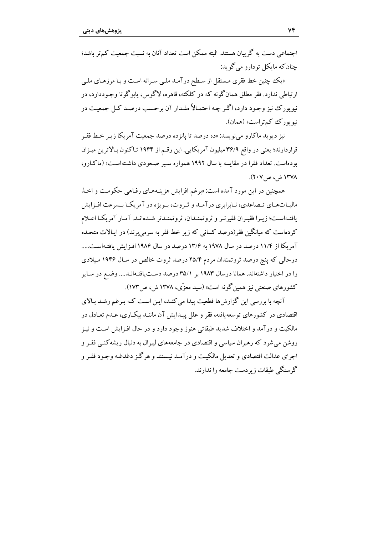احتماعي دست به گر بيان هستند. البته ممكن است تعداد آنان به نسبت حمعيت كم تر باشد؛ جنان که مایکل تودارو می گوید:

«یک چنین خط فقری مستقل از سطح درآمد ملبی سرانه است و بـا مرزهـای ملـی ار تباطي ندارد. فقر مطلق همان گونه كه در كلكته، قاهره، لاگوس، بابو گوتا وجـوددارد، در نیو پورک نیز وجود دارد، اگر چه احتمالاً مقـدار آن برحسب درصـد کـل جمعیـت در نيو يورك كم تراست» (همان).

نیز دیوید ماکارو میفویسد: «ده درصد تا پانزده درصد جمعیت آمریکا زیـر خـط فقـر قرار دارند؛ یعنی در واقع ۳۶/۹ میلیون آمریکایی. این رقبه از ۱۹۴۴ تیاکنون بالاترین میزان بودهاست. تعداد فقرا در مقايسه با سال ۱۹۹۲ همواره سير صعودي داشتهاست» (ماكـارو، ۱۳۷۸ ش ، ص ۲۰۷).

همچنین در این مورد آمده است: «برغم افزایش هزینـههـای رفـاهی حکومـت و اخـذ مالیـاتهـای تـصاعدی، نـابرابری درآمـد و ثـروت، بـویژه در آمریکـا بـسرعت افـزایش بافتـهاسـت؛ زيـرا فقيـران فقيرتـر و ثروتمنـدان، ثروتمنـدتر شـدهانـد. آمـار آمريكـا اعـلام کردهاست که میانگین فقر(درصد کسانی که زیر خط فقر به سرمی برند) در ایـالات متحـده آمریکا از ۱۱/۴ درصد در سال ۱۹۷۸ به ۱۳/۶ درصد در سال ۱۹۸۶ افزایش یافتهاست..... درحالی که پنج درصد ثروتمندان مردم ۲۵/۴ درصد ثروت خالص در سال ۱۹۴۶ میلادی را در اختیار داشتهاند. همانا درسال ۱۹۸۳ بر ۳۵/۱ درصد دست یافتهانـد.... وضـع در سـایر کشورهای صنعتی نیز همین گونه است» (سید معزّی، ۱۳۷۸ ش، ص ۱۷۳).

آنچه با بررسی این گزارش ها قطعیت پیدا می کنـد، ایـن اسـت کـه بـرغم رشـد بـالای اقتصادی در کشورهای توسعهیافته، فقر و علل پیـدایش آن ماننـد بیکـاری، عـدم تعـادل در مالکیت و درآمد و اختلاف شدید طبقاتی هنوز وجود دارد و در حال افـزایش اسـت و نیـز روشن می شود که رهبران سیاسی و اقتصادی در جامعههای لیبرال به دنبال ریشه کنبی فقیر و اجرای عدالت اقتصادی و تعدیل مالکیت و درآمـد نیـستند و هرگـز دغدغـه وجـود فقـر و گرسنگی طبقات ز بر دست جامعه را ندارند.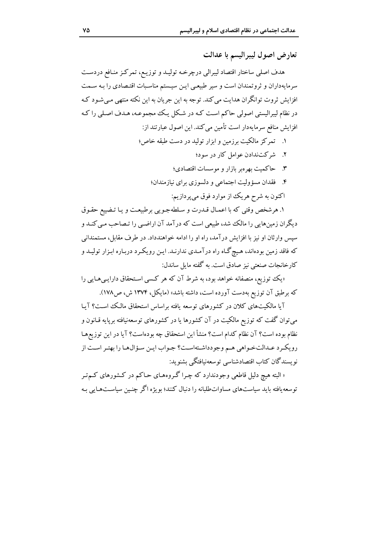تعارض اصول ليبراليسم با عدالت

هدف اصلی ساختار اقتصاد لیبرالی درچرخـه تولیـد و توزیـع، تمرکـز منـافع دردسـت سرمایهداران و ثروتمندان است و سیر طبیعی ایـن سیـستم مناسـبات اقتـصادی را بـه سـمت افزایش ثروت توانگران هدایت می کند. توجه به این جریان به این نکته منتهی مـی شـود کـه در نظام ليبراليستي اصولي حاكم است كـه در شـكل يـك مجموعـه، هـدف اصـلي را كـه افزایش منافع سرمایهدار است تأمین می کند. این اصول عبارتند از:

- ۱. تمرکز مالکیت برزمین و ابزار تولید در دست طبقه خاص؛
	- ۲. شرکتندادن عوامل کار در سود؛
	- ۳. حاکمیت بهرهبر بازار و موسسات اقتصادی؛
	- ۴. فقدان مسؤولیت اجتماعی و دلسوزی برای نیازمندان؛ اکنون به شرح هريک از موارد فوق مي پردازيم:

۱. هرشخص وقتی که با اعمـال قـدرت و سـلطهجـویی برطبیعـت و یـا تـضییع حقـوق دیگران زمینهایی را مالک شد، طبیعی است که درآمد آن اراضیی را تـصاحب مـی کنـد و سپس وارثان او نیز با افزایش درآمد، راه او را ادامه خواهندداد. در طرف مقابل، مستمندانی که فاقد زمین بودهاند، هیچگاه راه درآمـدي ندارنـد. ايـن رويکـرد دربـاره ابـزار توليـد و كارخانجات صنعتي نيز صادق است. به گفته مايل ساندل:

«یک توزیع، منصفانه خواهد بود، به شرط آن که هر کسبی استحقاق دارایبی هـایی را که برطبق آن توزیع بهدست آورده است، داشته باشد» (مایکل، ۱۳۷۴ ش، ص۱۷۸).

آیا مالکیتهای کلان در کشورهای توسعه یافته براساس استحقاق مالک است؟ آیـا می توان گفت که توزیع مالکیت در آن کشورها یا در کشورهای توسعهنیافته برپایه قـانون و نظام بوده است؟ آن نظام كدام است؟ منشأ اين استحقاق چه بودهاست؟ آيا در اين توزيعهـا رويكرد عـدالتخـواهي هـم وجودداشـتهاسـت؟ جـواب ايـن سـؤال1هـا را بهتـر اسـت از نو ىسندگان كتاب اقتصادشناسى توسعهنىافتگى ىشنو ىد:

« البته هیچ دلیل قاطعی وجودندارد که چـرا گـروههـای حـاکم در کـشورهای کـم تـر توسعه یافته باید سیاستهای مساواتطلبانه را دنبال کنند؛ بویژه اگر چنبین سیاستهایی بـه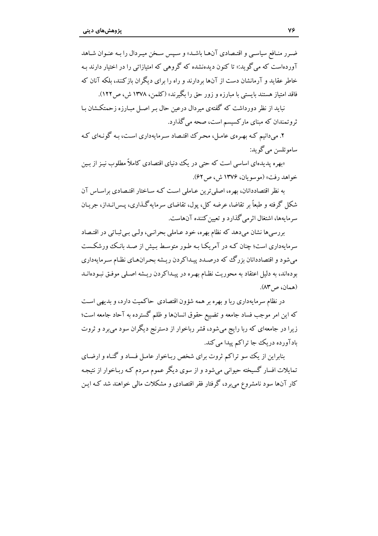ضرر منافع سياسي و اقتـصادي آنهـا باشـد» و سـيس سـخن ميـردال را بـه عنـوان شـاهد آوردهاست که می گو پد:« تا کنون دیدهنشده که گروهی که امتیازاتی را در اختیار دارند بـه خاطر عقاید و آرمانشان دست از آنها بردارند و راه را برای دیگران بازکنند، بلکه آنان که فاقد امتیاز هستند پایستی با مبارزه و زور چق را یگیرند» (کلمن، ۱۳۷۸ ش) ص ۱۲۲).

نباید از نظر دورداشت که گفتهی میردال درعین حال بـر اصـل مبـارزه زحمتکـشان بـا ثروتمندان که مبنای مارکسیسم است، صحه میگذارد.

۲. می دانیم کـه بهـرهي عامـل، محـرک اقتـصاد سـرمايهداري اسـت، بـه گونـهاي کـه ساموئلسن مي گو بد:

«بهره پدیدهای اساسی است که حتی در یک دنیای اقتصادی کاملاً مطلوب نیـز از بـین خواهد رفت» (موسو بان، ۱۳۷۶ ش، ص ۶۲).

به نظر اقتصاددانان، بهره، اصلی ترین عـاملی اسـت کـه سـاختار اقتـصادی براسـاس آن شکل گرفته و طبعاً بر تقاضا، عرضه کل، یول، تقاضای سرمایهگذاری، پـس(نـداز، جریـان سرمايهها، اشتغال اثرمي گذارد و تعيين كننده آنهاست.

بررسیها نشان میدهد که نظام بهره، خود عـاملی بحرانـی، ولـی بـی ثبـاتی در اقتـصاد سرمایهداری است؛ چنان کـه در آمریکـا بـه طـور متوسـط بـیش از صـد بانـک ورشکـست میشود و اقتصاددانان بزرگ که درصـدد پیـداکردن ریـشه بحـرانهـای نظـام سـرمايهداري بودهاند، به دلیل اعتقاد به محوریت نظـام بهـره در پیـداکردن ریـشه اصـلی موفـق نبـودهانـد (همان، ص١٣).

در نظام سرمایهداری ربا و بهره بر همه شؤون اقتصادی حاکمیت دارد، و بدیهی است كه اين امر موجب فساد جامعه و تضييع حقوق انسانها و ظلم گسترده به آحاد جامعه است؛ زیرا در جامعهای که ربا رایج میشود، قشر رباخوار از دسترنج دیگران سود میبرد و ثروت بادآورده دريك جا تراكم پيدا ميكند.

بنابراین از یک سو تراکم ثروت برای شخص ربـاخوار عامـل فـساد و گنـاه و ارضـای تمایلات افسار گسیخته حیوانی میشود و از سوی دیگر عموم مـردم کـه ربـاخوار از نتیجـه کار آنها سود نامشروع می برد، گرفتار فقر اقتصادی و مشکلات مالی خواهند شد کـه ایـن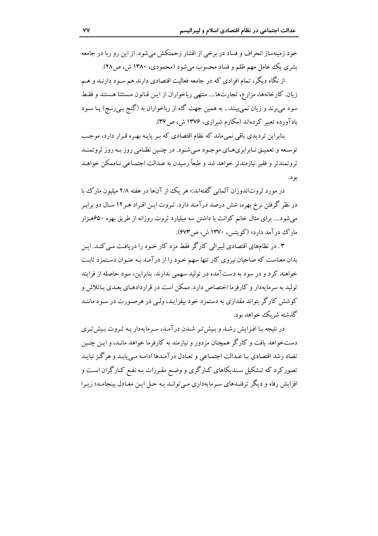خود زمینهساز انحراف و فساد در برخی از اقشار زحمتکش می شود. از این رو ریا در جامعه بشري يک عامل مهم ظلم و فساد محسوب مي شود (محمودي، ۱۳۸۰ ش، ص۲۸).

از نگاه دیگر، تمام افرادی که در جامعه فعالیت اقتصادی دارند هم سـود دارنـد و هـم زیان. کارخانهها، مزارع، تجارتها.... منتهی رباخواران از ایـن قـانون مـستثنا هـستند و فقـط سود می برند و زیان نمی بینند... به همین جهت گاه از رباخواران به (گنج بـی(نـج) یـا سـود بادآورده تعبیر کردهاند (مکارم شیرازی، ۱۳۷۶ ش، ص۳۶).

بنابراین تردیدی باقی نمی ماند که نظام اقتصادی که بـر پایـه بهـره قـرار دارد، موجـب توسعه و تعمیق نیاراری هیای موجبود می شود. در چنین نظیامی روز به روز ثروتمنید ثروتمندتر و فقير نيازمندتر خواهد شد و طبعاً رسيدن به عـدالت اجتمـاعي نـاممكن خواهـد بو د.

در مورد ثروتاندوزان آلمانی گفتهاند:« هر یک از آنها در هفته ۲/۸ میلیون مارک با در نظر گرفتن نرخ بهره، شش درصد درآمـد دارد. ثـروت ايـن افـراد هـر١٢ سـال دو برابـر می شود.... برای مثال خانم کوانت با داشتن سه میلیارد ثروت روزانه از طریق بهره ۶۵۰هـزار مارک درآمد دارد» (کویتس، ۱۳۷۰ ش، ص۶۷۳).

۰۳ در نظامهای اقتصادی لیبرالی کارگر فقط مزد کار خـود را دریافـت مـی کنـد. ایـن بدان معناست که صاحبان نیروی کار تنها سهم خـود را از درآمـد بـه عنـوان دسـتمزد ثابـت خواهند کرد و در سود به دستآمده در تولید سهمی ندارند. بنابراین، سود حاصله از فرایند تولید به سرمایهدار و کارفرما اختصاص دارد. ممکن است در قراردادهـای بعـدی بـاتلاش و کوشش کارگر بتواند مقداری به دستمزد خود بیفزایـد، ولـی در هرصـورت در سـود ماننـد گذشته شر یک خواهد بود.

در نتیجه با افزایش رشد و بیش تر شدن درآمد، سرمایهدار بـه ثـروت بـیش تـری دستخواهد یافت و کارگر همچنان مزدور و نیازمند به کارفرما خواهد مانـد، و ایـن چنـین تضاد رشد اقتصادي بـا عـدالت اجتمـاعي و تعـادل در آمـدها ادامـه مـى يابـد و هر گـز نبايـد تصورکرد که تـشکیل سـندیکاهای کـارگری و وضـع مقـررات بـه نفـع کـارگران اسـت و افزایش رفاه و دیگر ترفنـدهای سـرمایهداری مـیتوانـد بـه حـل ایـن معـادل بینجامـد؛ زیـرا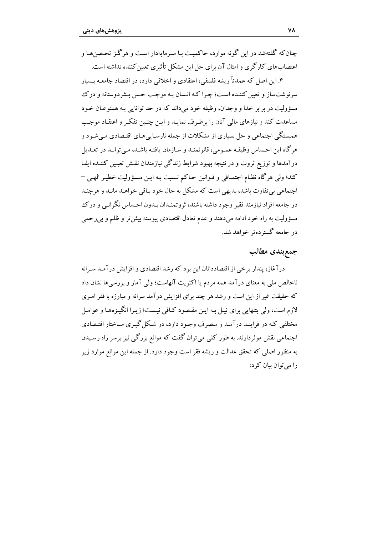جنان که گفتهشد در این گونه موارد، حاکمیت با سه مایهدار است و هر گن تحصن هیا و اعتصابهای کارگری و امثال آن برای حل این مشکل تأثیری تعیین کننده نداشته است.

۴. این اصل که عمدتاً ریشه فلسفی، اعتقادی و اخلاقی دارد، در اقتصاد جامعـه بـسیار سرنوشتساز و تعیین کننـده اسـت؛ چـرا کـه انـسان بـه موجـب حـس بـشردوستانه و درک مسؤولت در برابر خدا و وجدان، وظيفه خود مے داند كه در حد توانايي په همنوعـان خـود مساعدت کند و نیازهای مالی آنان را برطرف نمایـد و ایـن چنـین تفکـر و اعتقـاد موجـب همستگی اجتماعی و حل بساری از مشکلات از جمله نارسـایی هـای اقتـصادی مـی شـود و هر گاه این احساس وظیفه عمیومی، قانونمنید و سیازمان یافتیه باشید، می توانید در تعیدیل درآمدها و توزیع ثروت و در نتیجه بهبود شرایط زندگی نیازمندان نقـش تعیـین کننـده ایفـا كند؛ ولي هر گاه نظـام اجتمـافي و قـوانين حـاكم نـسبت بـه ايـن مـسؤوليت خطيـر الهـي – اجتماعي بي تفاوت باشد، بديهي است كه مشكل به حال خود بـاقي خواهـد مانـد و هرچنـد در جامعه افراد نیازمند فقیر وجود داشته باشند، ثروتمنـدان بـدون احـساس نگرانـی و درک مسؤوليت به راه خود ادامه مىدهند و عدم تعادل اقتصادى پيوسته بيش تر و ظلم و بىرحمى در جامعه گسترده تر خواهد شد.

## جمع بندى مطالب

درآغاز، پندار برخی از اقتصاددانان این بود که رشد اقتصادی و افزایش درآمـد سـرانه ناخالص ملی به معنای درآمد همه مردم یا اکثریت آنهاست؛ ولی آمار و بررسیها نشان داد که حقیقت غیر از این است و رشد هر چند برای افزایش درآمد سرانه و مبارزه با فقر امـری لازم است، ولي بتنهايي براي نيـل بـه ايـن مقـصود كـافي نيـست؛ زيـرا انگيـز مهـا و عوامـل مختلفی کـه در فراینـد درآمـد و مـصرف وجـود دارد، در شـکل گیـری سـاختار اقتـصادی اجتماعی نقش موثردارند. به طور کلی میتوان گفت که موانع بزرگی نیز برسر راه رسـیدن به منظور اصلی که تحقق عدالت و ریشه فقر است وجود دارد. از جمله این موانع موارد زیر را می توان بیان کرد: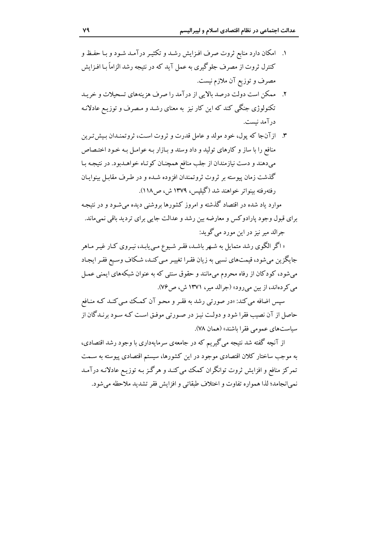- ۱. امکان دارد منابع ثروت صرف افـزايش رشـد و تکثيـر درآمـد شـود و بـا حفـظ و کنترل ثروت از مصرف جلوگیری به عمل آید که در نتیجه رشد الزاماً با افیزایش مصرف و توزیع آن ملازم نیست.
- ۲. ممکن است دولت درصد بالایی از درآمد را صرف هزینههای تسحیلات و خریـد تکنولوژی جنگی کند که این کار نیز به معنای رشـد و مـصرف و توزیـع عادلانـه درآمد نيست.
- ۳. از آنجا که پول، خود مولد و عامل قدرت و ثروت است، ثروتمنـدان بـیش تـرین منافع را با ساز و کارهای تولید و داد وستد و بازار به عوامل به خبود اختصاص می دهند و دست نیازمندان از جلب منافع همچنـان کوتـاه خواهـدبود. در نتیجـه بـا گذشت زمان پیوسته بر ثروت ثروتمندان افزوده شـده و در طـرف مقابـل بینوایـان رفتهرفته بينواتر خواهند شد (گيليس، ١٣٧٩ ش، ص١١٨).

موارد ىاد شده در اقتصاد گذشته و امروز كشورها بروشنی دیده می شـود و در نتیجـه براي قبول وجود پارادوكس و معارضه بين رشد و عدالت جايبي براي ترديد باقي نميءاند. جرالد مير نيز در اين مورد مي گويد:

« اگر الگوی رشد متمایل به شـهر باشـد، فقـر شـیوع مـییابـد، نیـروی کـار غیـر مـاهر جایگزین میشود، قیمتهای نسبی به زیان فقـرا تغییـر مـی کنـد، شـکاف وسـیع فقـر ایجـاد میشود، کودکان از رفاه محروم میمانند و حقوق سنتی که به عنوان شبکههای ایمنی عمـل مي كردهاند، از بين مي رود» (جرالد مير، ١٣٧١ ش، ص٧۶).

سپس اضافه می کند: «در صورتی رشد به فقـر و محـو آن کمـک مـی کنـد کـه منـافع حاصل از آن نصیب فقرا شود و دولت نیـز در صـورتی موفـق اسـت کـه سـود برنـدگان از سياستهاي عمومي فقرا باشند» (همان ٧٨).

از آنچه گفته شد نتیجه میگیریم که در جامعهی سرمایهداری با وجود رشد اقتصادی، به موجب ساختار کلان اقتصادی موجود در این کشورها، سیستم اقتصادی پیوسته به سـمت تمرکز منافع و افزایش ثروت توانگران کمک می کنـد و هرگـز بـه توزیـع عادلانـه درآمـد نمي انجامد؛ لذا همواره تفاوت و اختلاف طبقاتي و افزايش فقر تشديد ملاحظه مي شود.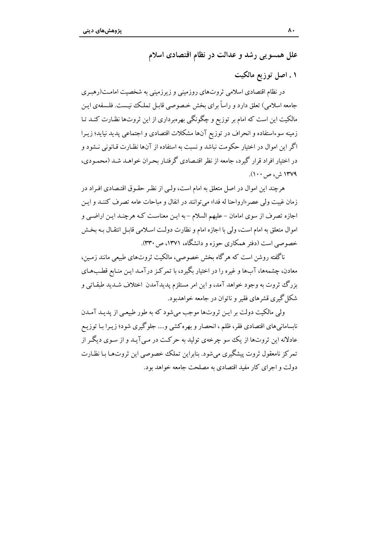علل همسو یی رشد و عدالت در نظام اقتصادی اسلام

۱. اصل توزیع مالکیت

در نظام اقتصادی اسلامی ثروتهای روزمینی و زیرزمینی به شخصیت امامـت(رهبـری جامعه اسلامی) تعلق دارد و راساً برای بخش خـصوصی قابـل تملـک نیـست. فلـسفهی ایـن مالکیت این است که امام بر توزیع و چگونگی بهرهبرداری از این ثروتها نظـارت کنــد تــا زمینه سوءاستفاده و انحراف در توزیع آنها مشکلات اقتصادی و اجتماعی پدید نیاید؛ زیـرا اگر این اموال در اختیار حکومت نباشد و نسبت به استفاده از آنها نظـارت قـانونی نـشود و در اختیار افراد قرار گیرد، جامعه از نظر اقتـصادی گرفتـار بحـران خواهـد شـد (محمـودی، ۱۳۷۹ ش، ص ۱۰۰).

هرچند این اموال در اصل متعلق به امام است، ولـی از نظـر حقـوق اقتـصادی افـراد در زمان غيبت ولي عصر «ارواحنا له فدا» مي توانند در انفال و مباحات عامه تصرف كننـد و ايـن اجازه تصرف از سوی امامان – علیهم السلام – به ایـن معناسـت کـه هرچنـد ایـن اراضـبي و اموال متعلق به امام است، ولي با اجازه امام و نظارت دولت اسـلامي قابـل انتقـال بـه بخـش خصوصی است (دفتر همکاری حوزه و دانشگاه، ۱۳۷۱، ص۳۳۰).

ناگفته روشن است که هرگاه بخش خصوصی، مالکیت ثروتهای طبیعی مانند زمین، معادن، چشمهها، آبها و غیره را در اختیار بگیرد، با تمرکـز درآمـد ایـن منـابع قطـبهـای بزرگ ثروت به وجود خواهد آمد، و این امر مستلزم پدیدآمدن اختلاف شـدید طبقـاتی و شکل گیری قشرهای فقیر و ناتوان در جامعه خواهدبود.

ولی مالکیت دولت بر ایـن ثروتها موجب می شود که به طور طبیعـی از یدیـد آمـدن نابسامانی های اقتصادی فقر، ظلم ، انحصار و بهره کشی و…. جلوگیری شود؛ زیـرا بـا توزیـع عادلانه این ثروتها از یک سو چرخهی تولید به حرکت در مبی آیـد و از سـوی دیگـر از تمرکز نامعقول ثروت پیشگیری می شود. بنابراین تملک خصوصی این ثروتها بـا نظـارت دولت و اجرای کار مفید اقتصادی به مصلحت جامعه خواهد بود.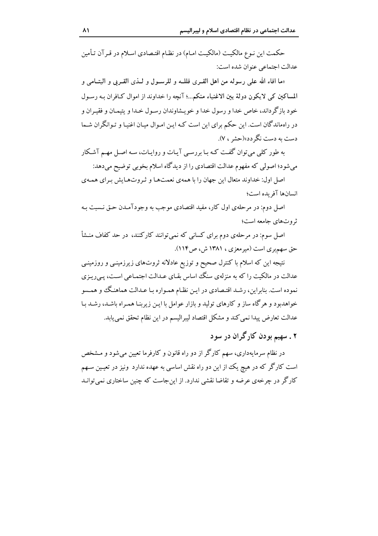حکمت این نـوع مالکیـت (مالکیـت امـام) در نظـام اقتـصادي اسـلام در قـر آن تـأمین عدالت اجتماعي عنوان شده است:

«ما افاء الله على رسوله من اهل القـرى فللــه و للرســول و لــذى القــربي و اليتــامى و المساكين كي لايكون دولة بين الاغنياء منكم...؛ آنچه را خداوند از اموال كـافران بـه رسـول خود باز گرداند، خاص خدا و رسول خدا و خو پشاوندان رسول خیدا و شمیان و فقیران و در راهماندگان است. این حکم برای این است کـه ایـن امـوال میـان اغنیـا و تـوانگران شـما دست به دست نگر دد»(حشر ، ۷).

به طور کلی میتوان گفت کـه بـا بررسـی آیـات و روایـات، سـه اصـل مهـم آشـکار می شود؛ اصولی که مفهوم عدالت اقتصادی را از دیدگاه اسلام بخوبی توضیح می دهد:

اصل اول: خداوند متعال این جهان را با همهی نعمتها و ثروتهایش برای همهی انسانها آفر بده است؛

اصل دوم: در مرحلهي اول كار، مفيد اقتصادي موجب به وجودآمـدن حـق نـسبت بـه ثروتهای جامعه است؛

اصل سوم: در مرحلهی دوم برای کسانی که نمی توانند کارکنند، در حد کفاف منـشأ حق سهم بری است (میرمعزی ، ۱۳۸۱ ش، ص۱۱۴).

نتیجه این که اسلام با کنترل صحیح و توزیع عادلانه ثروتهای زیرزمینـی و روزمینـی عدالت در مالکیت را که به منزلهی سنگ اساس بقـای عـدالت اجتمـاعی اسـت، پـی ریـزی نموده است. بنابراین، رشد اقتصادی در این نظام همـواره بـا عـدالت هماهنـگ و همـسو خواهدبود و هرگاه ساز و کارهای تولید و بازار عوامل با ایـن زیربنـا همـراه باشـد، رشـد بـا عدالت تعارض پیدا نمی کند و مشکل اقتصاد لیبرالیسم در این نظام تحقق نمی یابد.

۲ . سهیم بودن کارگران در سود

در نظام سرمایهداری، سهم کارگر از دو راه قانون و کارفرما تعیین می شود و مـشخص است کارگر که در هیچ یک از این دو راه نقش اساسی به عهده ندارد ونیز در تعیین سـهم کارگر در چرخهی عرضه و تقاضا نقشی ندارد. از این جاست که چنین ساختاری نمی توانـد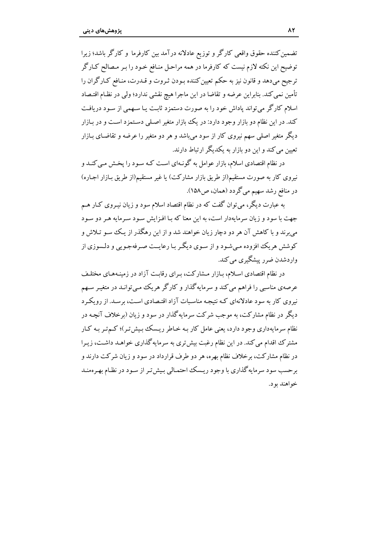تضمین کننده حقوق واقعی کارگر و توزیع عادلانه درآمد بین کارفرما و کارگر باشد؛ زیرا توضیح این نکته لازم نیست که کارفرما در همه مراحل منـافع خـود را بـر مـصالح کـارگر ترجیح میدهد و قانون نیز به حکم تعیین کننده بـودن ثـروت و قـدرت، منـافع کـارگران را تأمين نمي كند. بنابراين عرضه و تقاضا در اين ماجرا هيچ نقشي ندارد؛ ولي در نظـام اقتـصاد اسلام کارگر می تواند یاداش خود را به صورت دستمزد ثابت یا سبهمی از سـود دریافت کند. در این نظام دو بازار وجود دارد: در یک بازار متغیر اصلی دستمزد است و در بـازار دیگر متغیر اصلی سهم نیروی کار از سود می باشد و هر دو متغیر را عرضه و تقاضـای بـازار تعین می کند و این دو بازار به یکدیگر ارتباط دارند.

در نظام اقتصادی اسلام، بازار عوامل به گونـهای اسـت کـه سـود را يخـش مـی کنـد و نیروی کار به صورت مستقیم(از طریق بازار مشارکت) یا غیر مستقیم(از طریق بـازار اجـاره) در منافع رشد سهیم می گردد (همان، ص۱۵۸).

به عبارت دیگر، میتوان گفت که در نظام اقتصاد اسلام سود و زیان نیـروی کـار هــم جهت با سود و زیان سرمایهدار است، به این معنا که بـا افـزایش سـود سـرمایه هـر دو سـود می برند و با کاهش آن هر دو دچار زیان خواهند شد و از این رهگذر از یک سو تلاش و کوشش هریک افزوده میشود و از سوی دیگر با رعایــت صـرفهجویی و دلـسوزی از واردشدن ضرر پیشگیری می کند.

در نظام اقتصادی اسلام، بـازار مـشارکت، بـرای رقابـت آزاد در زمینـههـای مختلـف عرصهی مناسبی را فراهم می کند و سرمایه گذار و کارگر هریک مبی توانـد در متغیـر سـهم نیروی کار به سود عادلانهای کـه نتیجـه مناسـبات آزاد اقتـصادی اسـت، برسـد. از رویکـرد دیگر در نظام مشارکت، به موجب شرکت سرمایهگذار در سود و زیان (برخلاف آنچـه در نظام سرمایهداری وجود دارد، یعنی عامل کار بـه خـاطر ریـسک بـیش تـر)؛ کـم تـر بـه کـار مشترک اقدام می کند. در این نظام رغبت بیش تری به سرمایه گذاری خواهـد داشـت، زیـرا در نظام مشارکت، برخلاف نظام بهره، هر دو طرف قرارداد در سود و زیان شرکت دارند و برحسب سود سرمایه گذاری با وجود ریـسک احتمـالی بـیش تـر از سـود در نظـام بهـرهمنـد خواهند بود.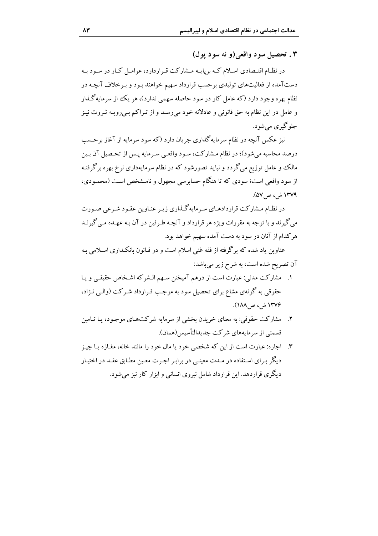٣. تحصيل سود واقعي (و نه سود يول)

در نظـام اقتـصادي اسـلام كـه برپايـه مـشاركت قـراردارد، عوامـل كـار در سـود بـه دستآمده از فعالیتهای تولیدی برحسب قرارداد سهیم خواهند بـود و بـرخلاف آنچـه در نظام بهره وجود دارد (که عامل کار در سود حاصله سهمی ندارد)، هر یک از سرمایه گـذار و عامل در این نظام به حق قانونی و عادلانه خود میرسد و از تـراکم بـیرویـه ثـروت نیـز جلو گيري مي شو د.

نیز عکس آنچه در نظام سرمایهگذاری جریان دارد (که سود سرمایه از آغاز برحسب درصد محاسبه میشود)؛ در نظام مشارکت، سود واقعی سرمایه پس از تحصیل آن بین مالک و عامل توزیع می گردد و نباید تصورشود که در نظام سرمایهداری نرخ بهره برگرفتـه از سود واقعی است؛ سودی که تا هنگام حسابرسی مجهول و نامـشخص اسـت (محمـودی، ۱۳۷۹ ش، ص۷۵۷.

در نظـام مـشاركت قراردادهـاي سـرمايه گـذاري زيـر عنـاوين عقـود شـرعي صـورت می گیرند و با توجه به مقررات ویژه هر قرارداد و آنچـه طـرفین در آن بـه عهـده مـی گیرنـد هر کدام از آنان در سود به دست آمده سهیم خواهد بود.

عناوین یاد شده که برگرفته از فقه غنی اسلام است و در قـانون بانکـداری اسـلامی بـه آن تصریح شده است، به شرح زیر میباشد:

- ١. مشاركت مدني: عبارت است از درهم آميختن سـهم الـشركه اشـخاص حقيقـي و يـا حقوقی به گونهی مشاع برای تحصیل سود به موجب قـرارداد شـرکت (والــی نـژاد، ۱۳۷۶ ش، ص ۱۸۸).
- ۲. \_ مشاركت حقوقي: به معناي خريدن بخشي از سرمايه شركتهـاي موجـود، بـا تـامين قسمتی از سرمایههای شرکت جدیدالتأسیس(همان).
- ۳. اجاره: عبارت است از این که شخصی خود یا مال خود را مانند خانه، مغـازه یـا چیـز دیگر بـرای اسـتفاده در مـدت معینـی در برابـر اجـرت معـین مطـابق عقـد در اختيـار دیگری قراردهد. این قرارداد شامل نیروی انسانی و ابزار کار نیز می شود.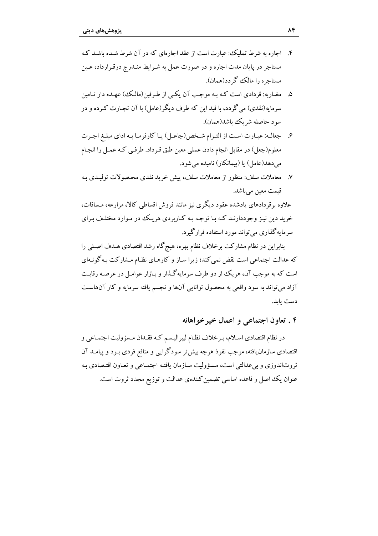- ۴. اجاره به شرط تملیک: عبارت است از عقد اجارهای که در آن شرط شبده باشید کیه مستاجر در پایان مدت اجاره و در صورت عمل به شیرابط منبدرج درقیرارداد، عین مستاجره را مالک گردد(همان).
- ۵. مضاربه: قردادی است کـه بـه موجـب آن یکـم از طـرفین(مالـک) عهـده دار تـامین سرمایه(نقدی) می گردد، با قید این که طرف دیگر (عامل) با آن تجـارت کـه ده و در سود حاصله شريك باشد(همان).
- ۶. جعالـه: عبـارت اسـت از التـزام شـخص(جاعـل) يـا كارفرمـا بـه اداي مبلـغ اجـرت معلوم(جعل) در مقابل انجام دادن عملي معين طبق قـرداد. طرفـي كـه عمـل را انجـام می دهد(عامل) یا (پیمانکار) نامیده می شود.
- ۷. معاملات سلف: منظور از معاملات سلف، پیش خرید نقدی محـصولات تولیـدی بـه قیمت معین می باشد.

علاوه برقردادهای یادشده عقود دیگری نیز مانند فروش اقساطی کالا، مزارعه، مـساقات، خرید دین نیز وجوددارنـد کـه بـا توجـه بـه کـاربردي هريـک در مـوارد مختلـف بـراي سرمايه گذاري مي تواند مورد استفاده قرار گيرد.

بنابراین در نظام مشارکت برخلاف نظام بهره، هیچگاه رشد اقتصادی هـدف اصـلـی را که عدالت اجتماعی است نقض نمی کند؛ زیرا سـاز و کارهـای نظـام مـشارکت بـه گونـهای است که به موجب آن، هر یک از دو طرف سرمایه گـذار و بـازار عوامـل در عرصـه رقابـت آزاد می تواند به سود واقعی به محصول توانایی آنها و تجسم یافته سرمایه و کار آنهاست دست يابد.

#### ۴ . تعاون اجتماعی و اعمال خیر خواهانه

در نظام اقتصادی اسـلام، بـرخلاف نظـام ليبراليـسم کـه فقـدان مـسؤوليت اجتمـاعي و اقتصادی سازمان یافته، موجب نفوذ هرچه بیش تر سودگرایی و منافع فردی بـود و پیامــد آن ثروتاندوزی و بی عدالتی است، مسؤولیت سازمان یافته اجتمـاعی و تعـاون اقتـصادی بـه عنوان يك اصل و قاعده اساسي تضمين كنندهي عدالت و توزيع مجدد ثروت است.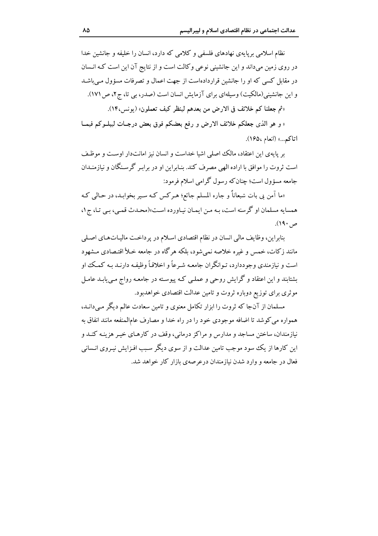نظام اسلامی بریایهی نهادهای فلسفی و کلامی که دارد، انسان را خلیفه و جانشین خدا در روی زمین میداند و این جانشینی نوعی وکالت است و از نتایج آن این است کـه انـسان در مقابل کسی که او را جانشین قراردادهاست از جهت اعمال و تصرفات مسؤول مے باشـد و این جانشینی(مالکیت) وسیلهای برای آزمایش انسان است (صدر، بی تا، ج۲، ص۱۷۱).

«ثم جعلنا كم خلائف في الارض من بعدهم لينظر كيف تعملون» (يونس،١۴،).

« و هو الذي جعلكم خلائف الارض و رفع بعضكم فوق بعض درجـات ليبلــوكم فيمــا اتاكم...» (انعام ١۶۵،).

بر پایهی این اعتقاد، مالک اصلی اشیا خداست و انسان نیز امانتدار اوست و موظف است ثروت را موافق با اراده الهي مصرف كند. بنـابراين او در برابـر گرسـنگان و نيازمنـدان جامعه مسؤول است؛ چنان که رسول گرامی اسلام فرمود:

«ما آمن بی بات شبعاناً و جاره المسلم جائع؛ هـرکس کـه سـیر بخوابـد، در حـالـی کـه همسايه مسلمان او گرسنه است، بـه مـن ايمـان نيـاورده اسـت»(محـدث قمـي، بـي تـا، ج ١، ص۱۹۰).

بنابراين، وظايف مالي انسان در نظام اقتصادي اسلام در پرداخت ماليـاتهـاي اصـلي مانند زکات، خمس و غیره خلاصه نمی شود، بلکه هرگاه در جامعه خـلأ اقتـصادی مـشهود است و نیازمندی وجوددارد، تـوانگران جامعـه شـرعاً و اخلاقـاً وظیفـه دارنـد بـه کـمـک او بشتابند و این اعتقاد و گرایش روحی و عملـی کـه پیوسـته در جامعـه رواج مـییابـد عامـل موثری برای توزیع دوباره ثروت و تامین عدالت اقتصادی خواهدبود.

مسلمان از آنجا که ثروت را ابزار تکامل معنوی و تامین سعادت عالم دیگر می دانـد، همواره مي كوشد تا اضافه موجودي خود را در راه خدا و مصارف عامالمنفعه مانند انفاق به نیازمندان، ساختن مساجد و مدارس و مراکز درمانی، وقف در کارهـای خیـر هزینـه کنـد و این کارها از یک سود موجب تامین عدالت و از سوی دیگر سبب افـزایش نیـروی انـسانی فعال در جامعه و وارد شدن نیاز مندان در عرصه ی بازار کار خواهد شد.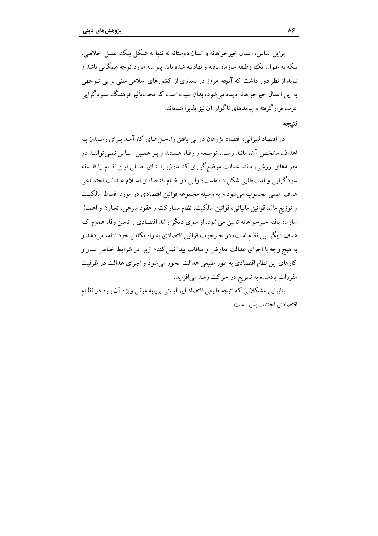براین اساس، اعمال خبر خواهانه و انسان دوستانه نه تنها به شکل یک عمیل اخلاقبی، ىلكە بە عنوان ىك وظىفە سازمان،افتە و نھادىنە شدە ياپد پيوستە مورد توجە ھمگانى باشد و نباید از نظر دور داشت که آنچه امروز در بسیاری از کشورهای اسلامی مبنی بر بی تـوجهی به این اعمال خیرخواهانه دیده می شود، بدان سبب است که تحت تأثیر فرهنگ سودگرای غرب قرار گرفته و پیامدهای ناگوار آن نیز پذیرا شدهاند.

#### نتىحە

در اقتصاد لیبرالی، اقتصاد پژوهان در پی یافتن راهحـلهـای کارآمـد بـرای رسـیدن بـه اهداف مشخص آن، مانند رشد، توسعه و رفـاه هـستند و بـر همـین اسـاس نمـی تواننـد در مقولههای ارزشی، مانند عدالت موضع گیـری کننـد؛ زیـرا بنـای اصـلی ایـن نظـام را فلـسفه سودگرایی و لذتطلبی شکل دادهاست؛ ولبی در نظـام اقتـصادی اسـلام عـدالت اجتمـاعی هدف اصلی محسوب میشود و به وسیله مجموعه قوانین اقتصادی در مورد اقساط مالکیت و توزيع مال، قوانين مالياتي، قوانين مالكيت، نظام مشاركت و عقود شرعي، تعـاون و اعمـال سازمان یافته خیرخواهانه تامین میشود. از سوی دیگر رشد اقتصادی و تامین رفاه عموم ک هدف ديگر اين نظام است، در چارچوب قوانين اقتصادي به راه تكامل خود ادامه مى دهد و به هیچ وجه با اجرای عدالت تعارض و منافات پیدا نمی کند؛ زیرا در شرایط خـاص سـاز و کارهای این نظام اقتصادی به طور طبیعی عدالت محور می شود و اجرای عدالت در ظرفیت مقررات یادشده به تسریع در حرکت رشد می افزاید.

بنابراین مشکلاتی که نتیجه طبیعی اقتصاد لیبرالیستی برپایه مبانی ویژه آن بود در نظـام اقتصادی اجتناب بذیر است.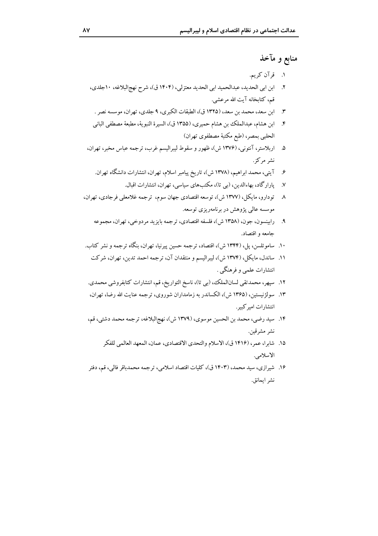## منابع و مآخذ

- ١. قرآن کريم.
- ٢. ابن ابي الحديد، عبدالحميد ابي الحديد معتزلي، (١۴٠۴ ق)، شرح نهج البلاغه، ١٠جلدي، قم، كتابخانه آيت الله مرعشى.
- ۳. ابن سعد، محمد بن سعد، (۱۳۲۵ ق)، الطبقات الكبرى، ۹ جلدى، تهران، موسسه نصر .
- ابن هشام، عبدالملك بن هشام حميري، (١٣٥٥ ق)، السيرة النبوية، مطبعة مصطفى الباني  $\cdot$ .۴ الحلبي بمصر، (طبع مكتبهٔ مصطفوي تهران)
- ۵. اربلاستر، آنتوني، (۱۳۷۶ ش)، ظهور و سقوط ليبراليسم غرب، ترجمه عباس مخبر، تهران، نشر مرکز .
	- ۶. آیتی، محمد ابراهیم، (۱۳۷۸ ش)، تاریخ پیامبر اسلام، تهران، انتشارات دانشگاه تهران.
		- ۷. پارارگاد، بهاءالدین، (بی تا)، مکتبهای سیاسی، تهران، انتشارات اقبال.
- ٨ تودارو، مایکل، (١٣٧٧ ش)، توسعه اقتصادی جهان سوم، ترجمه غلامعلی فرجادی، تهران، موسسه عالمي پژوهش در برنامهريزي توسعه.
	- ۹. رابينسون، جون، (۱۳۵۸ ش)، فلسفه اقتصادي، ترجمه بايزيد مردوخي، تهران، مجموعه جامعه و اقتصاد.
- ۱۰. ساموئلسن، پل، (۱۳۴۴ ش)، اقتصاد، ترجمه حسین پیرنیا، تهران، بنگاه ترجمه و نشر کتاب.
	- ١١. ساندل، مايكل، (١٣٧٤ ش)، ليبراليسم و منتقدان آن، ترجمه احمد تدين، تهران، شركت انتشارات علمي و فرهنگي .
- ١٢. سپهر، محمدتقى لسانالملك، (بي تا)، ناسخ التواريخ، قم، انتشارات كتابفروشي محمدي.
- ۱۳. سولژنیستین، (۱۳۶۵ ش)، الکساندر به زمامداران شوروی، ترجمه عنایت الله رضا، تهران، انتشارات امير كبير .
- ۱۴. سید رضی، محمد بن الحسین موسوی، (۱۳۷۹ ش)، نهجالبلاغه، ترجمه محمد دشتی، قم، نشر مشرقين.
	- ١۵. شابرا، عمر، (١۴١۶ ق)، الاسلام والتحدي الاقتصادي، عمان، المعهد العالمي للفكر الاسلامى.
- ۱۶. شیرازی، سید محمد، (۱۴۰۳ ق)، کلیات اقتصاد اسلامی، ترجمه محمدباقر فالی، قم، دفتر نشر إيمانق.